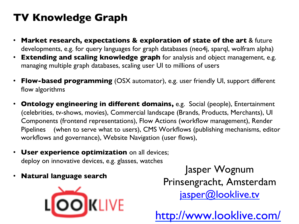## **TV Knowledge Graph**

- **Market research, expectations & exploration of state of the art** & future developments, e.g. for query languages for graph databases (neo4j, sparql, wolfram alpha)
- **Extending and scaling knowledge graph** for analysis and object management, e.g. managing multiple graph databases, scaling user UI to millions of users
- **Flow-based programming** (OSX automator), e.g. user friendly UI, support different flow algorithms
- **Ontology engineering in different domains,** e.g. Social (people), Entertainment (celebrities, tv-shows, movies), Commercial landscape (Brands, Products, Merchants), UI Components (frontend representations), Flow Actions (workflow management), Render Pipelines (when to serve what to users), CMS Workflows (publishing mechanisms, editor workflows and governance), Website Navigation (user flows),
- **User experience optimization** on all devices; deploy on innovative devices, e.g. glasses, watches
- **Natural language search**



Jasper Wognum Prinsengracht, Amsterdam jasper@looklive.tv

http://www.looklive.com/